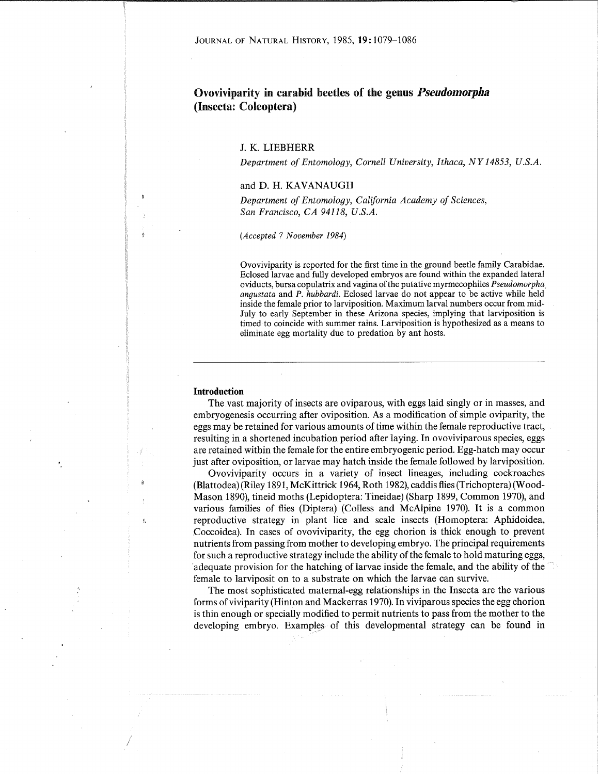# **Ovoviviparity in carabid beetles of the genus** *Pseudomorpha*  **(Insecta: Coleoptera)**

## J. K. LIEBHERR

Department of Entomology, Cornell University, Ithaca, NY 14853, U.S.A.

## and D. H. KAVANAUGH

Department of Entomology, Calijornia Academy of Sciences, San Francisco, CA 94118, U.S.A.

### *(Accepted 7 November 1984)*

Ovoviviparity is reported for the first time in the ground beetle family Carabidae. Eclosed larvae and fully developed embryos are found within the expanded lateral oviducts, bursa copulatrix and vagina of the putative myrmecophiles *Pseudomorpha angustata* and *P. hubbardi.* Eclosed larvae do not appear to be active while held inside the female prior to larviposition. Maximum larval numbers occur from mid-July to early September in these Arizona species, implying that larviposition is timed to coincide with summer rains. Larviposition is hypothesized as a means to eliminate egg mortality due to predation by ant hosts.

## **Introduction**

The vast majority of insects are oviparous, with eggs laid singly or in masses, and embryogenesis occurring after oviposition. As a modification of simple oviparity, the eggs may be retained for various amounts of time within the female reproductive tract, resulting in a shortened incubation period after laying. In ovoviviparous species, eggs are retained within the female for the entire embryogenic period. Egg-hatch may occur just after oviposition, or larvae may hatch inside the female followed by larviposition.

Ovoviviparity occurs in a variety of insect lineages, including cockroaches (Blattodea) (Riley 1891, McKittrick 1964, Roth 1982), caddis flies (Trichoptera) (Wood-Mason 1890), tineid moths (Lepidoptera: Tineidae) (Sharp 1899, Common 1970), and various families of flies (Diptera) (Colless and McAlpine 1970). It is a common reproductive strategy in plant lice and scale insects (Homoptera: Aphidoidea, Coccoidea). In cases of ovoviviparity, the egg chorion is thick enough to prevent nutrients from passing from mother to developing embryo. The principal requirements for such a reproductive strategy include the ability of the female to hold maturing eggs, adequate provision for the hatching of larvae inside the female, and the ability of the female to larviposit on to a substrate on which the larvae can survive.

The most sophisticated maternal-egg relationships in the Insecta are the various forms of viviparity (Hinton and Mackerras 1970). In viviparous species the egg chorion is thin enough or specially modified to permit nutrients to pass from the mother to the developing embryo. Examples of this developmental strategy can be found in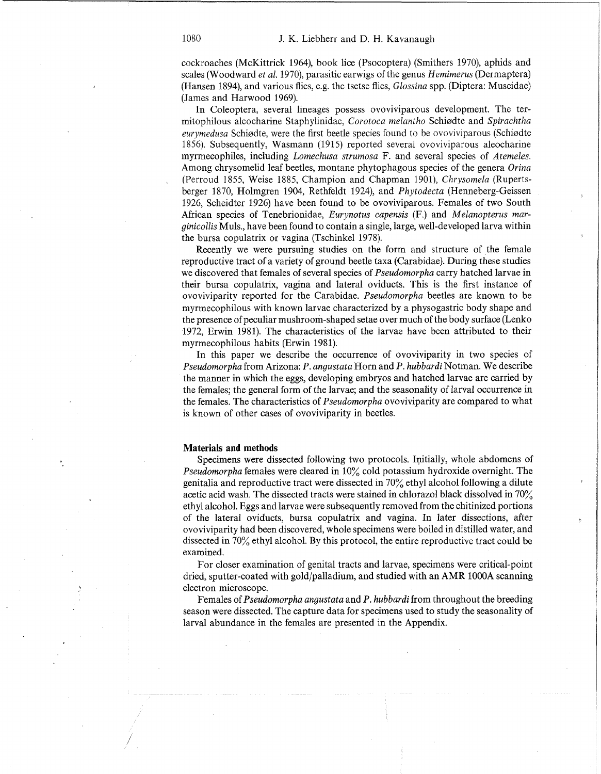cockroaches (McKittrick 1964), book lice (Psocoptera) (Smithers 1970), aphids and scales (Woodward *et al.* 1970), parasitic earwigs of the genus *Hemimerus* (Dermaptera) (Hansen 1894), and various flies, e.g. the tsetse flies, *Glossina* spp. (Diptera: Muscidae) (James and Harwood 1969).

In Coleoptera, several lineages possess ovoviviparous development. The termitophilous aleocharine Staphylinidae, *Corotoca melantho* Schiødte and *Spirachtha eurymedusa* Schiødte, were the first beetle species found to be ovoviviparous (Schiødte 1856). Subsequently, Wasmann (1915) reported several ovoviviparous aleocharine myrmecophiles, including *Lomechusa strumosa* F. and several species of *Atemeles.*  Among chrysomelid leaf beetles, montane phytophagous species of the genera *Orina*  (Perroud 1855, Weise 1885, Champion and Chapman 1901), *Chrysomela* (Rupertsberger 1870, Holmgren 1904, Rethfeldt 1924), and *Phytodecta* (Henneberg-Geissen 1926, Scheidter 1926) have been found to be ovoviviparous. Females of two South African species of Tenebrionidae, *Eurynotus capensis* (F.) and *Melanopterus marginicollis* Muls., have been found to contain a single, large, well-developed larva within the bursa copulatrix or vagina (Tschinkel 1978).

Recently we were pursuing studies on the form and structure of the female reproductive tract of a variety of ground beetle taxa (Carabidae). During these studies we discovered that females of several species of *Pseudomorpha* carry hatched larvae in their bursa copulatrix, vagina and lateral oviducts. This is the first instance of ovoviviparity reported for the Carabidae. *Pseudomorpha* beetles are known to be myrmecophilous with known larvae characterized by a physogastric body shape and the presence of peculiar mushroom-shaped setae over much of the body surface (Lenko 1972, Erwin 1981). The characteristics of the larvae have been attributed to their myrmecophilous habits (Erwin 1981).

In this paper we describe the occurrence of ovoviviparity in two species of *Pseudomorpha* from Arizona: *P. angustata* Horn and *P. hubbardi* Notman. We describe the manner in which the eggs, developing embryos and hatched larvae are carried by the females; the general form of the larvae; and the seasonality of larval occurrence in the females. The characteristics of *Pseudomorpha* ovoviviparity are compared to what is known of other cases of ovoviviparity in beetles.

#### **Materials and methods**

Specimens were dissected following two protocols. Initially, whole abdomens of *Pseudomorpha* females were cleared in 10% cold potassium hydroxide overnight. The genitalia and reproductive tract were dissected in  $70\%$  ethyl alcohol following a dilute acetic acid wash. The dissected tracts were stained in chlorazol black dissolved in 70% ethyl alcohol. Eggs and larvae were subsequently removed from the chitinized portions of the lateral oviducts, bursa copulatrix and vagina. In later dissections, after ovoviviparity had been discovered, whole specimens were boiled in distilled water, and dissected in 70% ethyl alcohol. By this protocol, the entire reproductive tract could be examined.

For closer examination of genital tracts and larvae, specimens were critical-point dried, sputter-coated with gold/palladium, and studied with an AMR 1000A scanning electron microscope.

Females of *Pseudomorpha angustata* and *P. hubbardi* from throughout the breeding season were dissected. The capture data for specimens used to study the seasonality of larval abundance in the females are presented in the Appendix.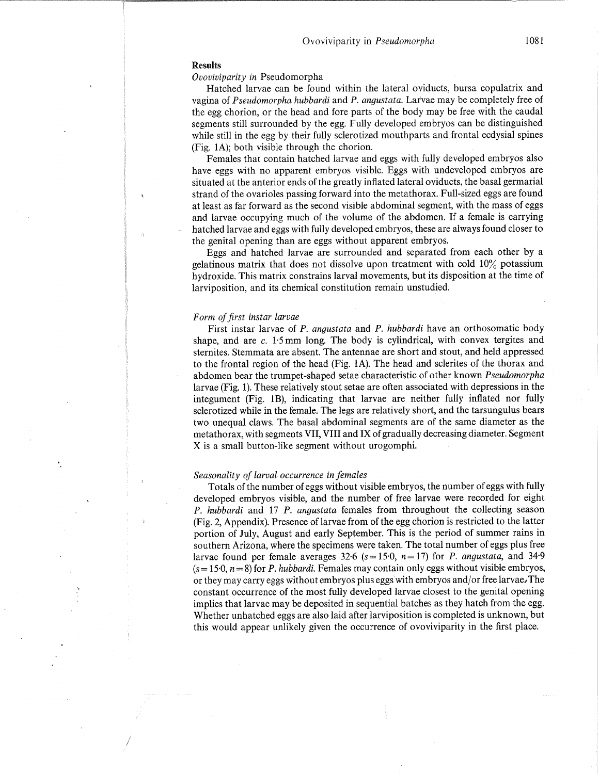## **Results**

*Ovoviviparity in* Pseudomorpha

Hatched larvae can be found within the lateral oviducts, bursa copulatrix and vagina of *Pseudomorpha hubbardi* and *P. angustata.* Larvae may be completely free of the egg chorion, or the head and fore parts of the body may be free with the caudal segments still surrounded by the egg. Fully developed embryos can be distinguished while still in the egg by their fully sclerotized mouthparts and frontal ecdysial spines (Fig. 1A); both visible through the chorion.

Females that contain hatched larvae and eggs with fully developed embryos also have eggs with no apparent embryos visible. Eggs with undeveloped embryos are situated at the anterior ends of the greatly inflated lateral oviducts, the basal germarial strand of the ovarioles passing forward into the metathorax. Full-sized eggs are found at least as far forward as the second visible abdominal segment, with the mass of eggs and larvae occupying much of the volume of the abdomen. If a female is carrying hatched larvae and eggs with fully developed embryos, these are always found closer to the genital opening than are eggs without apparent embryos.

Eggs and hatched larvae are surrounded and separated from each other by a gelatinous matrix that does not dissolve upon treatment with cold 10% potassium hydroxide. This matrix constrains larval movements, but its disposition at the time of larviposition, and its chemical constitution remain unstudied.

#### *Form of first instar larvae*

First instar larvae of *P. angustata* and *P. hubbardi* have an orthosomatic body shape, and are *c.* 1.5mm long. The body is cylindrical, with convex tergites and sternites. Stemmata are absent. The antennae are short and stout, and held appressed to the frontal region of the head (Fig. 1A). The head and sclerites of the thorax and abdomen bear the trumpet-shaped setae characteristic of other known *Pseudomorpha*  larvae (Fig. 1). These relatively stout setae are often associated with depressions in the integument (Fig. lB), indicating that larvae are neither fully inflated nor fully sclerotized while in the female. The legs are relatively short, and the tarsungulus bears two unequal claws. The basal abdominal segments are of the same diameter as the metathorax, with segments VII, VIII and IX of gradually decreasing diameter. Segment X is a small button-like segment without urogomphi.

### *Seasonality of larval occurrence in females*

Totals of the number of eggs without visible embryos, the number of eggs with fully developed embryos visible, and the number of free larvae were recorded for eight *P. hubbardi* and 17 *P. angustata* females from throughout the collecting season (Fig. 2, Appendix). Presence of larvae from of the egg chorion is restricted to the latter portion of July, August and early September. This is the period of summer rains in southern Arizona, where the specimens were taken. The total number of eggs plus free larvae found per female averages  $32.6$  ( $s=15.0$ ,  $n=17$ ) for *P. angustata*, and  $34.9$  $(s = 15.0, n = 8)$  for *P. hubbardi*. Females may contain only eggs without visible embryos, or they may carry eggs without embryos plus eggs with embryos and/or free larvae,The constant occurrence of the most fully developed larvae closest to the genital opening implies that larvae may be deposited in sequential batches as they hatch from the egg. Whether unhatched eggs are also laid after larviposition is completed is unknown, but this would appear unlikely given the occurrence of ovoviviparity in the first place.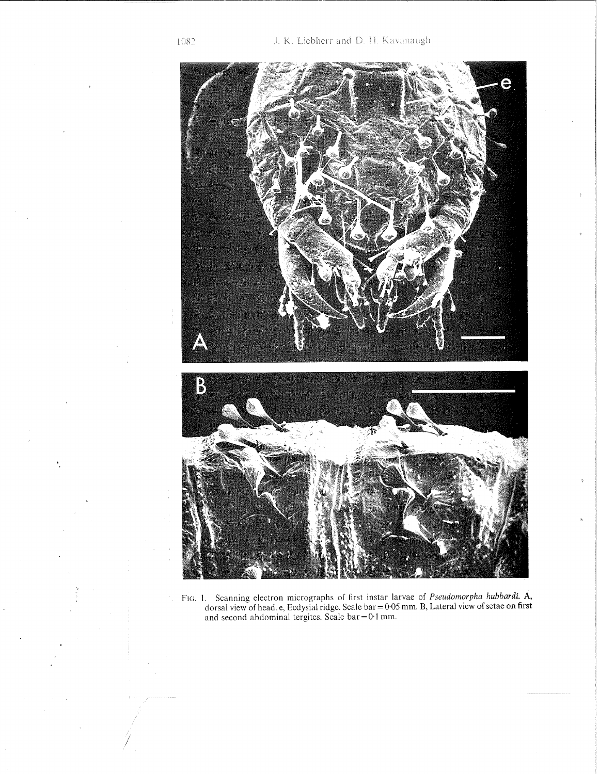

FIG. 1. Scanning electron micrographs of first instar larvae of *Pseudomorpha hubbardi*. A, dorsal view of head. e, Ecdysial ridge. Scale bar = 0.05 mm. B, Lateral view of setae on first and second abdominal tergites. Scale bar=O.I mm.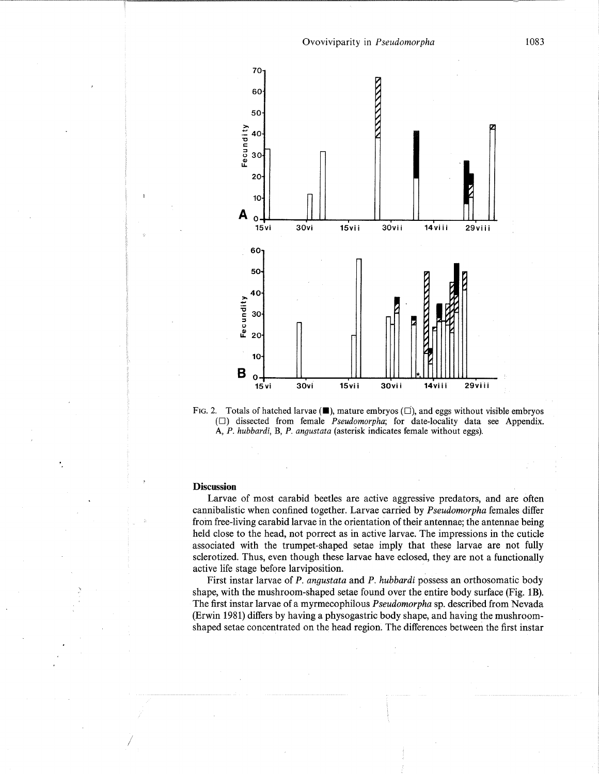

FIG. 2. Totals of hatched larvae  $(\blacksquare)$ , mature embryos  $(\square)$ , and eggs without visible embryos ((7) dissected from female *Pseudomorpha;* for date-locality data see Appendix. A, P. *hubbardi,* B, *P. angustata* (asterisk indicates female without eggs).

#### **Discussion**

Larvae of most carabid beetles are active aggressive predators, and are often cannibalistic when confined together. Larvae carried by *Pseudomorpha* females differ from free-living carabid larvae in the orientation of their antennae; the antennae being held close to the head, not porrect as in active larvae. The impressions in the cuticle associated with the trumpet-shaped setae imply that these larvae are not fully sclerotized. Thus, even though these larvae have eclosed, they are not a functionally active life stage before larviposition.

First instar larvae of P. *angustata* and *P. hubbardi* possess an orthosomatic body shape, with the mushroom-shaped setae found over the entire body surface (Fig. **1B).**  The first instar larvae of a myrmecophilous *Pseudomorpha* sp. described from Nevada (Erwin 1981) differs by having a physogastric body shape, and having the mushroomshaped setae concentrated on the head region. The differences between the first instar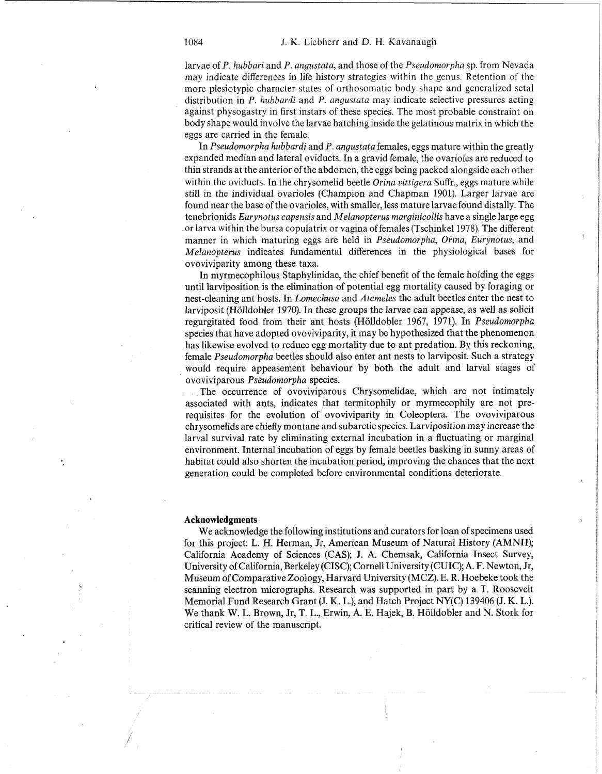larvae of *P. hubbari* and *P. angustata,* and those of the *Pseudomorpha* sp. from Nevada may indicate differences in life history strategies within the genus. Retention of the more plesiotypic character states of orthosomatic body shape and generalized setal distribution in *P. hubbardi* and *P. angustata* may indicate selective pressures acting against physogastry in first instars of these species. The most probable constraint on body shape would involve the larvae hatching inside the gelatinous matrix in which the eggs are carried in the female.

In *Pseudomorpha hubbardi* and *P. angustata* females, eggs mature within the greatly expanded median and lateral oviducts. In a gravid female, the ovarioles are reduced to thin strands at the anterior of the abdomen, the eggs being packed alongside each other within the oviducts. In the chrysomelid beetle *Orina vittigera* Suffr., eggs mature while still in the individual ovarioles (Champion and Chapman 1901). Larger larvae are found near the base of the ovarioles, with smaller, less mature larvae found distally. The tenebrionids *Eurynotus capensis* and *Melanopterus marginicollis* have a single large egg or larva within the bursa copulatrix or vagina of females (Tschinkel 1978). The different manner in which maturing eggs are held in *Pseudomorpha, Orina, Eurynotus,* and *Melanopterus* indicates fundamental differences in the physiological bases for ovoviviparity among these taxa.

In myrmecophilous Staphylinidae, the chief benefit of the female holding the eggs until larviposition is the elimination of potential egg mortality caused by foraging or nest-cleaning ant hosts. In *Lomechusa* and *Atemeles* the adult beetles enter the nest to larviposit (Holldobler 1970). In these groups the larvae can appease, as well as solicit regurgitated food from their ant hosts (Holldobler 1967, 1971). In *Pseudomorpha*  species that have adopted ovoviviparity, it may be hypothesized that the phenomenon has likewise evolved to reduce egg mortality due to ant predation. By this reckoning, female *Pseudomorpha* beetles should also enter ant nests to larviposit. Such a strategy would require appeasement behaviour by both the adult and larval stages of ovoviviparous *Pseudomorpha* species.

The occurrence of ovoviviparous Chrysomelidae, which are not intimately associated with ants, indicates that termitophily or myrmecophily are not prerequisites for the evolution of ovoviviparity in Coleoptera. The ovoviviparous chrysomelids are chiefly montane and subarctic species. Larviposition may increase the larval survival rate by eliminating external incubation in a fluctuating or marginal environment. Internal incubation of eggs by female beetles basking in sunny areas of habitat could also shorten the incubation period, improving the chances that the next generation could be completed before environmental conditions deteriorate.

## **Acknowledgments**

We acknowledge the following institutions and curators for loan of specimens used for this project: L. H. Herman, Jr, American Museum of Natural History (AMNH); California Academy of Sciences (CAS); J. A. Chemsak, California Insect Survey, University of California, Berkeley (CISC); Cornell University (CUIC); A. F. Newton, Jr, Museum of Comparative Zoology, Harvard University (MCZ). E. R. Hoebeke took the scanning electron micrographs. Research was supported in part by a T. Roosevelt Memorial Fund Research Grant (J. K. L.), and Hatch Project NY(C) 139406 (J. K. L.). We thank W. L. Brown, Jr, T. L., Erwin, A. E. Hajek, B. Holldobler and N. Stork for critical review of the manuscript.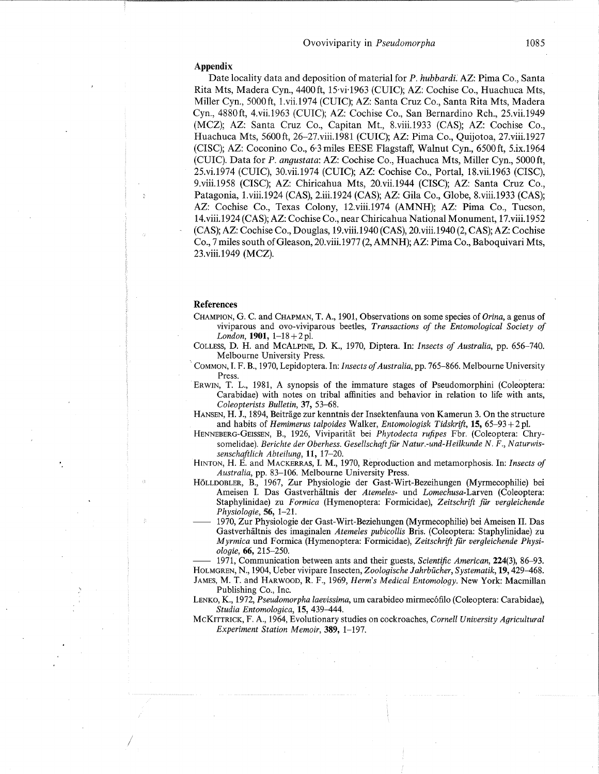## **Appendix**

Date locality data and deposition of material for P. *hubbardi.* AZ: Pima Co., Santa Rita Mts, Madera Cyn., 4400ft, 15.vi.1963 (CUIC); AZ: Cochise Co., Huachuca Mts, Miller Cyn., 5000ft, l.vii.1974 (CUIC); AZ: Santa Cruz Co., Santa Rita Mts, Madera Cyn., 4880ft, 4.vii.1963 (CUIC); AZ: Cochise Co., San Bernardino Rch., 25.vii.1949 (MCZ); AZ: Santa Cruz Co., Capitan Mt., 8.viii.1933 (CAS); AZ: Cochise Co., Huachuca Mts, 5600ft, 26-27.viii.1981 (CUIC); AZ: Pima Co., Quijotoa, 27.viii.1927 (CISC); AZ: Coconino Co., 6.3 miles EESE Flagstaff, Walnut Cyn., 6500ft, 5.ix.1964 (CUIC). Data for *P. angustata:* AZ: Cochise Co., Huachuca Mts, Miller Cyn., 5000 ft, 25.vi.1974 (CUIC), 30.vii.1974 (CUIC); AZ: Cochise Co., Portal, 18.vii.1963 (CISC), 9.viii.1958 (CISC); AZ: Chiricahua Mts, 20.vii.1944 (CISC); AZ: Santa Cruz Co., Patagonia, l.viii.1924 (CAS), 2.iii.1924 (CAS); AZ: Gila Co., Globe, 8.viii.1933 (CAS); AZ: Cochise Co., Texas Colony, 12.viii.1974 (AMNH); AZ: Pima Co., Tucson, 14.viii.1924 (CAS); AZ: Cochise Co., near Chiricahua National Monument, 17.viii. 1952 (CAS); AZ: Cochise Co., Douglas, 19.viii.1940 (CAS), 20.viii.1940 (2, CAS); AZ: Cochise Co., 7 miles south of Gleason, 20.viii.1977 (2, AMNH); AZ: Pima Co., Baboquivari Mts, 23.viii. 1949 (MCZ).

#### **References**

- CHAMPION, G. C. and CHAPMAN, T. A., 1901, Observations on some species of *Orina*, a genus of viviparous and ovo-viviparous beetles, *Transactions of the Entomological Society of London,* 1901, 1-18 + 2 pl.
- COLLESS, D. H. and MCALPINE, D. K., 1970, Diptera. In: *Insects of Australia,* pp. 656-740. Melbourne University Press.
- COMMON, I. F. B., 1970, Lepidoptera. In: *Insects of Australia,* pp. 765-866. Melbourne University Press.
- ERWIN, T. L., 1981, A synopsis of the immature stages of Pseudomorphini (Coleoptera: Carabidae) with notes on tribal affinities and behavior in relation to life with ants, *Coleopterists Bulletin,* 37, 53-68.
- HANSEN, H. J., 1894, Beitrage zur kenntnis der Insektenfauna von Kamerun 3. On the structure and habits of *Hemimerus talpoides* Walker, *Entomologisk Tidskrift,* 15, 65-93 + 2 pl.
- HENNEBERG-GEISSEN, B., 1926, Viviparitat bei *Phytodecta rujipes* Fbr. (Coleoptera: Chrysomelidae). *Berichte der Oberhess. Gesellschaft fur Natur.-und-Heilkunde N. F., Naturwissenschaftlich Abteilung,* 11, 17-20.
- HINTON, H. E. and MACKERRAS, I. M., 1970, Reproduction and metamorphosis. In: *Insects of Australia,* pp. 83-106. Melbourne University Press.
- Australia, pp. 83–106. Melbourne University Press.<br>
HÖLLDOBLER, B., 1967, Zur Physiologie der Gast-Wirt-Bezeihungen (Myrmecophilie) bei<br>
Ameisen I. Das Gastverhältnis der *Atemeles* und *Lomechusa*-Larven (Coleoptera:<br>
St Ameisen I. Das Gastverhaltnis der *Atemeles-* und *Lomechusa-Larven* (Coleoptera: Staphylinidae) zu *Formica* (Hymenoptera: Formicidae), *Zeitschrift fir vergleichende* 
	- Gastverhaltnis des imaginalen *Atemeles pubicollis* Bris. (Coleoptera: Staphylinidae) zu *Myrmica* und Formica (Hymenoptera: Formicidae), *Zeitschrift fur vergleichende Physi-Physiologie,* **56,** 1–21.<br>
	1970, Zur Physiologie der Gast-Wirt-Beziehungen (Myrmecophilie) bei Ameisen II. Das<br>
	Gastverhältnis des imaginalen *Atemeles pubicollis* Bris. (Coleoptera: Staphylinidae) zu<br> *Myrmica* und Formi

HOLMGREN, N., 1904, Ueber vivipare Insecten, *Zoologische Jahrbücher*, *Systematik*, **19**, 429–468. JAMES, M. T. and HARWOOD, R. F., 1969, *Herm's Medical Entomology.* New York: Macmillan

- Publishing Co., Inc.
- LENKO, K., 1972, *Pseudomorpha laevissima,* um carabideo mirmec6filo (Coleoptera: Carabidae), *Studia Entomologica, 15, 439-444.*
- MCKITTRICK, F. A., 1964, Evolutionary studies on cockroaches, *Cornell University Agricultural Experiment Station Memoir,* 389, 1-197.